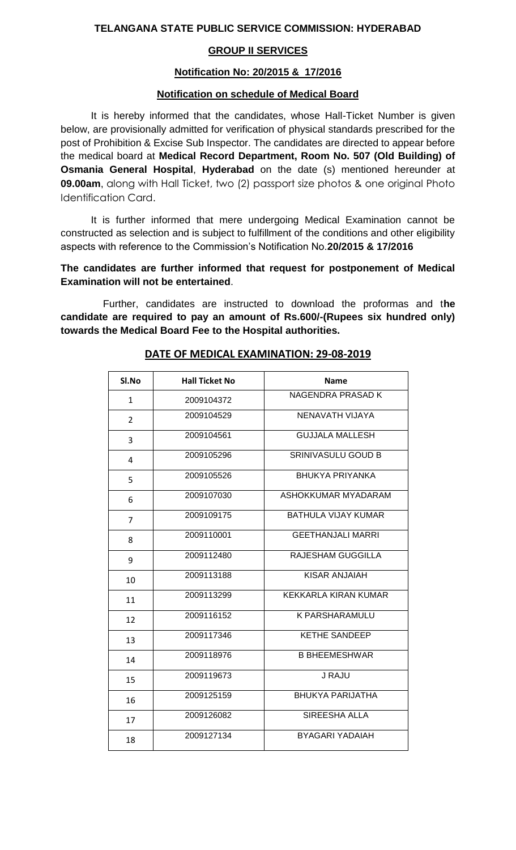## **TELANGANA STATE PUBLIC SERVICE COMMISSION: HYDERABAD**

# **GROUP II SERVICES**

#### **Notification No: 20/2015 & 17/2016**

#### **Notification on schedule of Medical Board**

It is hereby informed that the candidates, whose Hall-Ticket Number is given below, are provisionally admitted for verification of physical standards prescribed for the post of Prohibition & Excise Sub Inspector. The candidates are directed to appear before the medical board at **Medical Record Department, Room No. 507 (Old Building) of Osmania General Hospital**, **Hyderabad** on the date (s) mentioned hereunder at **09.00am**, along with Hall Ticket, two (2) passport size photos & one original Photo Identification Card.

It is further informed that mere undergoing Medical Examination cannot be constructed as selection and is subject to fulfillment of the conditions and other eligibility aspects with reference to the Commission's Notification No.**20/2015 & 17/2016**

**The candidates are further informed that request for postponement of Medical Examination will not be entertained**.

Further, candidates are instructed to download the proformas and t**he candidate are required to pay an amount of Rs.600/-(Rupees six hundred only) towards the Medical Board Fee to the Hospital authorities.**

| SI.No          | <b>Hall Ticket No</b> | <b>Name</b>                |
|----------------|-----------------------|----------------------------|
| $\mathbf{1}$   | 2009104372            | NAGENDRA PRASAD K          |
| $\overline{2}$ | 2009104529            | NENAVATH VIJAYA            |
| 3              | 2009104561            | <b>GUJJALA MALLESH</b>     |
| 4              | 2009105296            | <b>SRINIVASULU GOUD B</b>  |
| 5              | 2009105526            | <b>BHUKYA PRIYANKA</b>     |
| 6              | 2009107030            | ASHOKKUMAR MYADARAM        |
| $\overline{7}$ | 2009109175            | <b>BATHULA VIJAY KUMAR</b> |
| 8              | 2009110001            | <b>GEETHANJALI MARRI</b>   |
| 9              | 2009112480            | RAJESHAM GUGGILLA          |
| 10             | 2009113188            | KISAR ANJAIAH              |
| 11             | 2009113299            | KEKKARLA KIRAN KUMAR       |
| 12             | 2009116152            | <b>K PARSHARAMULU</b>      |
| 13             | 2009117346            | <b>KETHE SANDEEP</b>       |
| 14             | 2009118976            | <b>B BHEEMESHWAR</b>       |
| 15             | 2009119673            | J RAJU                     |
| 16             | 2009125159            | <b>BHUKYA PARIJATHA</b>    |
| 17             | 2009126082            | SIREESHA ALLA              |
| 18             | 2009127134            | <b>BYAGARI YADAIAH</b>     |

## **DATE OF MEDICAL EXAMINATION: 29-08-2019**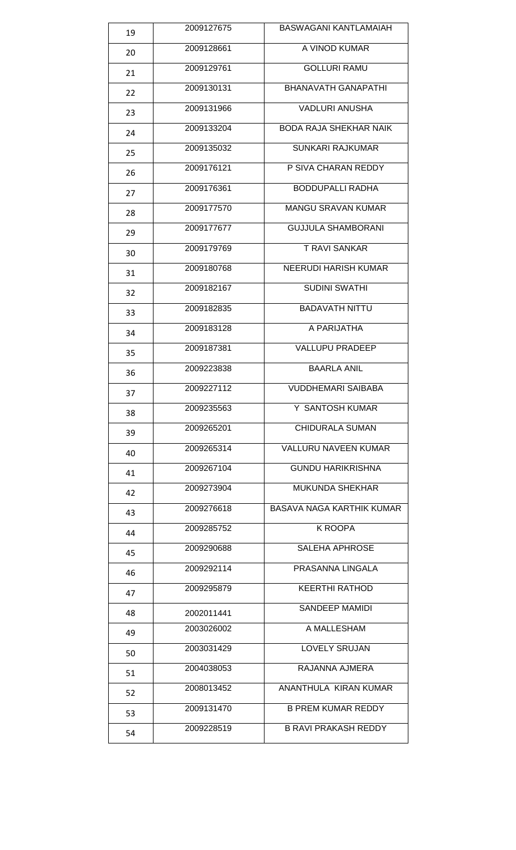| 19 | 2009127675 | BASWAGANI KANTLAMAIAH         |
|----|------------|-------------------------------|
| 20 | 2009128661 | A VINOD KUMAR                 |
| 21 | 2009129761 | <b>GOLLURI RAMU</b>           |
| 22 | 2009130131 | <b>BHANAVATH GANAPATHI</b>    |
| 23 | 2009131966 | <b>VADLURI ANUSHA</b>         |
| 24 | 2009133204 | <b>BODA RAJA SHEKHAR NAIK</b> |
| 25 | 2009135032 | <b>SUNKARI RAJKUMAR</b>       |
| 26 | 2009176121 | P SIVA CHARAN REDDY           |
| 27 | 2009176361 | <b>BODDUPALLI RADHA</b>       |
| 28 | 2009177570 | <b>MANGU SRAVAN KUMAR</b>     |
| 29 | 2009177677 | <b>GUJJULA SHAMBORANI</b>     |
| 30 | 2009179769 | <b>T RAVI SANKAR</b>          |
| 31 | 2009180768 | <b>NEERUDI HARISH KUMAR</b>   |
| 32 | 2009182167 | <b>SUDINI SWATHI</b>          |
| 33 | 2009182835 | <b>BADAVATH NITTU</b>         |
| 34 | 2009183128 | A PARIJATHA                   |
| 35 | 2009187381 | <b>VALLUPU PRADEEP</b>        |
| 36 | 2009223838 | <b>BAARLA ANIL</b>            |
| 37 | 2009227112 | <b>VUDDHEMARI SAIBABA</b>     |
| 38 | 2009235563 | Y SANTOSH KUMAR               |
| 39 | 2009265201 | <b>CHIDURALA SUMAN</b>        |
| 40 | 2009265314 | <b>VALLURU NAVEEN KUMAR</b>   |
| 41 | 2009267104 | <b>GUNDU HARIKRISHNA</b>      |
| 42 | 2009273904 | <b>MUKUNDA SHEKHAR</b>        |
| 43 | 2009276618 | BASAVA NAGA KARTHIK KUMAR     |
| 44 | 2009285752 | K ROOPA                       |
| 45 | 2009290688 | <b>SALEHA APHROSE</b>         |
| 46 | 2009292114 | PRASANNA LINGALA              |
| 47 | 2009295879 | <b>KEERTHI RATHOD</b>         |
| 48 | 2002011441 | SANDEEP MAMIDI                |
| 49 | 2003026002 | A MALLESHAM                   |
| 50 | 2003031429 | <b>LOVELY SRUJAN</b>          |
| 51 | 2004038053 | RAJANNA AJMERA                |
| 52 | 2008013452 | ANANTHULA KIRAN KUMAR         |
| 53 | 2009131470 | <b>B PREM KUMAR REDDY</b>     |
| 54 | 2009228519 | <b>B RAVI PRAKASH REDDY</b>   |